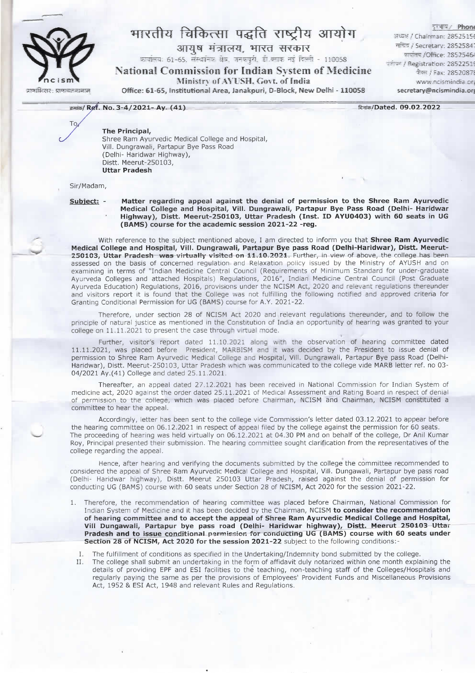

Tο

## भारतीय चिकित्सा पद्धति राष्ट्रीय आयोग

आयुष मंत्रालय, भारत सरकार

क्रवांतवः 61-65. संस्वानिक क्षेत्र, जनकपुरी, ही ब्लाक नहं दिल्ली - 110058.

**National Commission for Indian System of Medicine** 

Ministry of AYUSH, Govt. of India

Office: 61-65, Institutional Area, Janakpuri, D-Block, New Delhi - 110058

इन्भाष्ट*।* Phone 의료역 / Chairman: 28525156 सच्चित् / Secretary: 28525841 कर्णाटक /Office: 2852546 oritan / Registration: 28522519 फैक्स / Fax: 2852087! www.ncismindia.org secretary@ncismindia.org

दिनांक/Dated. 09.02.2022

## The Principal,

क्रमांक/ Ref. No. 3-4/2021- Ay. (41)

Shree Ram Ayurvedic Medical College and Hospital, Vill. Dungrawali, Partapur Bye Pass Road (Delhi- Haridwar Highway), Distt. Meerut-250103, **Uttar Pradesh** 

Sir/Madam,

Subject: -

Matter regarding appeal against the denial of permission to the Shree Ram Ayurvedic Medical College and Hospital, Vill. Dungrawali, Partapur Bye Pass Road (Delhi- Haridwar Highway), Distt. Meerut-250103, Uttar Pradesh (Inst. ID AYU0403) with 60 seats in UG (BAMS) course for the academic session 2021-22 -reg.

With reference to the subject mentioned above, I am directed to inform you that Shree Ram Ayurvedic Medical College and Hospital, Vill. Dungrawali, Partapur Bye pass Road (Delhi-Haridwar), Distt. Meerut-250103, Uttar Pradesh was virtually visited on 11.10.2021. Further, in view of above, the college has been assessed on the basis of concerned regulation and Relaxation policy issued by the Ministry of AYUSH and on examining in terms of "Indian Medicine Central Council (Requirements of Minimum Standard for under-graduate Ayurveda Colleges and attached Hospitals) Regulations, 2016", Indian Medicine Central Council (Post Graduate<br>Ayurveda Education) Regulations, 2016, provisions under the NCISM Act, 2020 and relevant regulations thereunder and visitors report it is found that the College was not fulfilling the following notified and approved criteria for Granting Conditional Permission for UG (BAMS) course for A.Y. 2021-22.

Therefore, under section 28 of NCISM Act 2020 and relevant regulations thereunder, and to follow the principle of natural justice as mentioned in the Constitution of India an opportunity of hearing was granted to your college on 11.11.2021 to present the case through virtual mode.

Further, visitor's report dated 11.10.2021 along with the observation of hearing committee dated 11.11.2021, was placed before President, MARBISM and it was decided by the President to issue denial of permission to Shree Ram Ayurvedic Medical College and Hospital, Vill. Dungrawali, Partapur Bye pass Road (Delhi-Haridwar), Distt. Meerut-250103, Uttar Pradesh which was communicated to the college vide MARB letter ref. no 03-04/2021 Ay.(41) College and dated 25.11.2021.

Thereafter, an appeal dated 27.12.2021 has been received in National Commission for Indian System of medicine act, 2020 against the order dated 25.11.2021 of Medical Assessment and Rating Board in respect of denial of permission to the college, which was placed before Chairman, NCISM and Chairman, NCISM constituted a committee to hear the appeal.

Accordingly, letter has been sent to the college vide Commission's letter dated 03.12.2021 to appear before the hearing committee on 06.12.2021 in respect of appeal filed by the college against the permission for 60 seats. The proceeding of hearing was held virtually on 06.12.2021 at 04.30 PM and on behalf of the college, Dr Anil Kumar Roy, Principal presented their submission. The hearing committee sought clarification from the representatives of the college regarding the appeal.

Hence, after hearing and verifying the documents submitted by the college the committee recommended to considered the appeal of Shree Ram Ayurvedic Medical College and Hospital, Vill. Dungawali, Partapur bye pass road (Delhi- Haridwar highway), Distt. Meerut 250103 Uttar Pradesh, raised against the denial of permission for conducting UG (BAMS) course with 60 seats under Section 28 of NCISM, Act 2020 for the session 2021-22.

Therefore, the recommendation of hearing committee was placed before Chairman, National Commission for  $1.$ Indian System of Medicine and it has been decided by the Chairman, NCISM to consider the recommendation of hearing committee and to accept the appeal of Shree Ram Ayurvedic Medical College and Hospital, Vill Dungawali, Partapur bye pass road (Delhi- Haridwar highway), Distt. Meerut 250103 Uttar<br>Pradesh and to issue conditional permission for conducting UG (BAMS) course with 60 seats under Section 28 of NCISM, Act 2020 for the session 2021-22 subject to the following conditions:

 $\mathbf{L}$ The fulfillment of conditions as specified in the Undertaking/Indemnity bond submitted by the college.

The college shall submit an undertaking in the form of affidavit duly notarized within one month explaining the  $H_{\odot}$ details of providing EPF and ESI facilities to the teaching, non-teaching staff of the Colleges/Hospitals and regularly paying the same as per the provisions of Employees' Provident Funds and Miscellaneous Provisions Act, 1952 & ESI Act, 1948 and relevant Rules and Regulations.